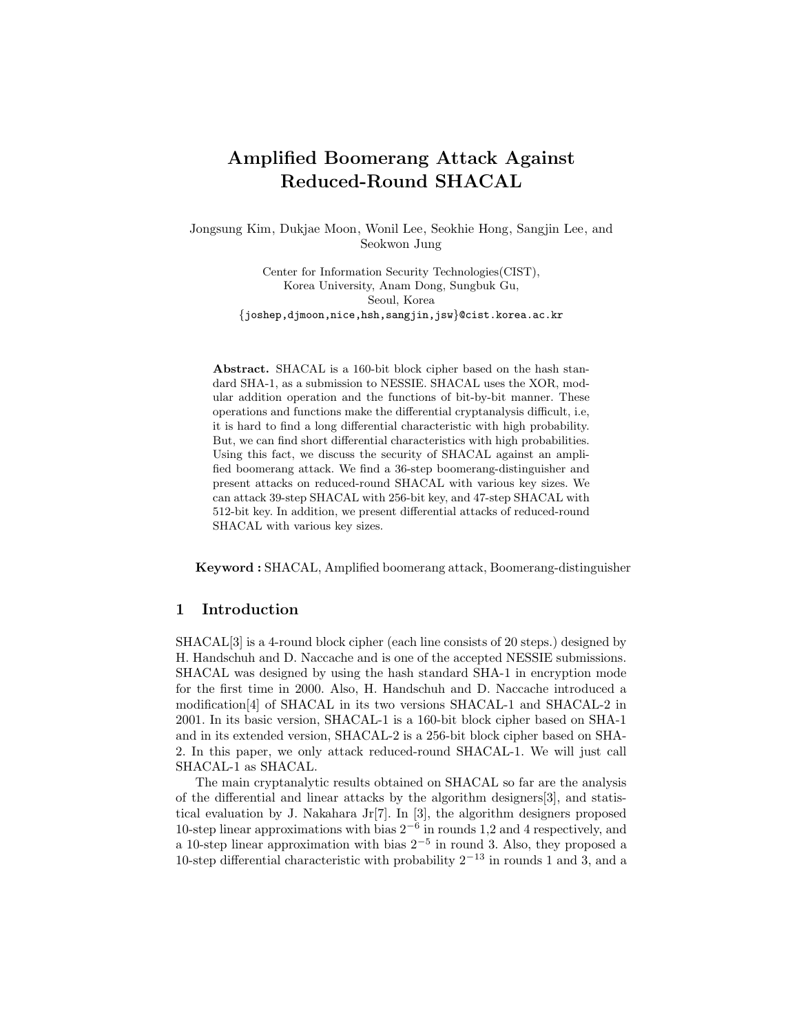# Amplified Boomerang Attack Against Reduced-Round SHACAL

Jongsung Kim, Dukjae Moon, Wonil Lee, Seokhie Hong, Sangjin Lee, and Seokwon Jung

> Center for Information Security Technologies(CIST), Korea University, Anam Dong, Sungbuk Gu, Seoul, Korea {joshep,djmoon,nice,hsh,sangjin,jsw}@cist.korea.ac.kr

Abstract. SHACAL is a 160-bit block cipher based on the hash standard SHA-1, as a submission to NESSIE. SHACAL uses the XOR, modular addition operation and the functions of bit-by-bit manner. These operations and functions make the differential cryptanalysis difficult, i.e, it is hard to find a long differential characteristic with high probability. But, we can find short differential characteristics with high probabilities. Using this fact, we discuss the security of SHACAL against an amplified boomerang attack. We find a 36-step boomerang-distinguisher and present attacks on reduced-round SHACAL with various key sizes. We can attack 39-step SHACAL with 256-bit key, and 47-step SHACAL with 512-bit key. In addition, we present differential attacks of reduced-round SHACAL with various key sizes.

Keyword : SHACAL, Amplified boomerang attack, Boomerang-distinguisher

# 1 Introduction

SHACAL[3] is a 4-round block cipher (each line consists of 20 steps.) designed by H. Handschuh and D. Naccache and is one of the accepted NESSIE submissions. SHACAL was designed by using the hash standard SHA-1 in encryption mode for the first time in 2000. Also, H. Handschuh and D. Naccache introduced a modification[4] of SHACAL in its two versions SHACAL-1 and SHACAL-2 in 2001. In its basic version, SHACAL-1 is a 160-bit block cipher based on SHA-1 and in its extended version, SHACAL-2 is a 256-bit block cipher based on SHA-2. In this paper, we only attack reduced-round SHACAL-1. We will just call SHACAL-1 as SHACAL.

The main cryptanalytic results obtained on SHACAL so far are the analysis of the differential and linear attacks by the algorithm designers[3], and statistical evaluation by J. Nakahara Jr[7]. In [3], the algorithm designers proposed 10-step linear approximations with bias  $2^{-6}$  in rounds 1,2 and 4 respectively, and a 10-step linear approximation with bias  $2^{-5}$  in round 3. Also, they proposed a 10-step differential characteristic with probability  $2^{-13}$  in rounds 1 and 3, and a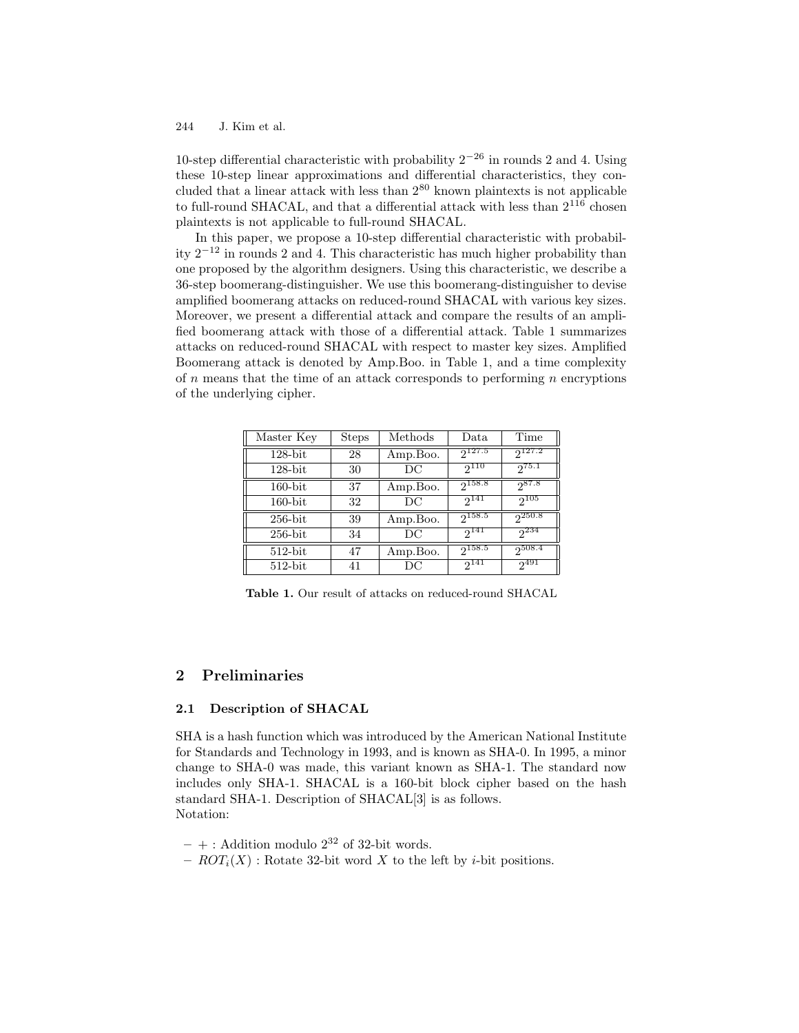10-step differential characteristic with probability  $2^{-26}$  in rounds 2 and 4. Using these 10-step linear approximations and differential characteristics, they concluded that a linear attack with less than 2 <sup>80</sup> known plaintexts is not applicable to full-round SHACAL, and that a differential attack with less than  $2^{116}$  chosen plaintexts is not applicable to full-round SHACAL.

In this paper, we propose a 10-step differential characteristic with probability  $2^{-12}$  in rounds 2 and 4. This characteristic has much higher probability than one proposed by the algorithm designers. Using this characteristic, we describe a 36-step boomerang-distinguisher. We use this boomerang-distinguisher to devise amplified boomerang attacks on reduced-round SHACAL with various key sizes. Moreover, we present a differential attack and compare the results of an amplified boomerang attack with those of a differential attack. Table 1 summarizes attacks on reduced-round SHACAL with respect to master key sizes. Amplified Boomerang attack is denoted by Amp.Boo. in Table 1, and a time complexity of  $n$  means that the time of an attack corresponds to performing  $n$  encryptions of the underlying cipher.

| Master Key | <b>Steps</b> | $\operatorname*{Methods}% \left( \mathcal{N}\right) \times\mathcal{N}_{\mathcal{N}}\left( \mathcal{N}\right)$ | Data        | Time        |
|------------|--------------|---------------------------------------------------------------------------------------------------------------|-------------|-------------|
| $128$ -bit | 28           | Amp.Boo.                                                                                                      | $2^{127.5}$ | $2^{127.2}$ |
| $128$ -bit | 30           | DС                                                                                                            | $2^{110}$   | $2^{75.1}$  |
| $160$ -bit | 37           | Amp.Boo.                                                                                                      | $2^{158.8}$ | $2^{87.8}$  |
| $160$ -bit | 32           | DС                                                                                                            | $2^{141}$   | $2^{105}$   |
| $256$ -bit | 39           | Amp.Boo.                                                                                                      | $2^{158.5}$ | $2^{250.8}$ |
| $256$ -bit | 34           | DС                                                                                                            | $2^{141}$   | $2^{234}$   |
| $512$ -bit | 47           | Amp.Boo.                                                                                                      | $2^{158.5}$ | 2508.4      |
| $512$ -bit | 41           | DС                                                                                                            | $2^{141}$   | $2^{491}$   |

Table 1. Our result of attacks on reduced-round SHACAL

# 2 Preliminaries

#### 2.1 Description of SHACAL

SHA is a hash function which was introduced by the American National Institute for Standards and Technology in 1993, and is known as SHA-0. In 1995, a minor change to SHA-0 was made, this variant known as SHA-1. The standard now includes only SHA-1. SHACAL is a 160-bit block cipher based on the hash standard SHA-1. Description of SHACAL[3] is as follows. Notation:

- $+ :$  Addition modulo  $2^{32}$  of 32-bit words.
- $ROT_i(X)$ : Rotate 32-bit word X to the left by *i*-bit positions.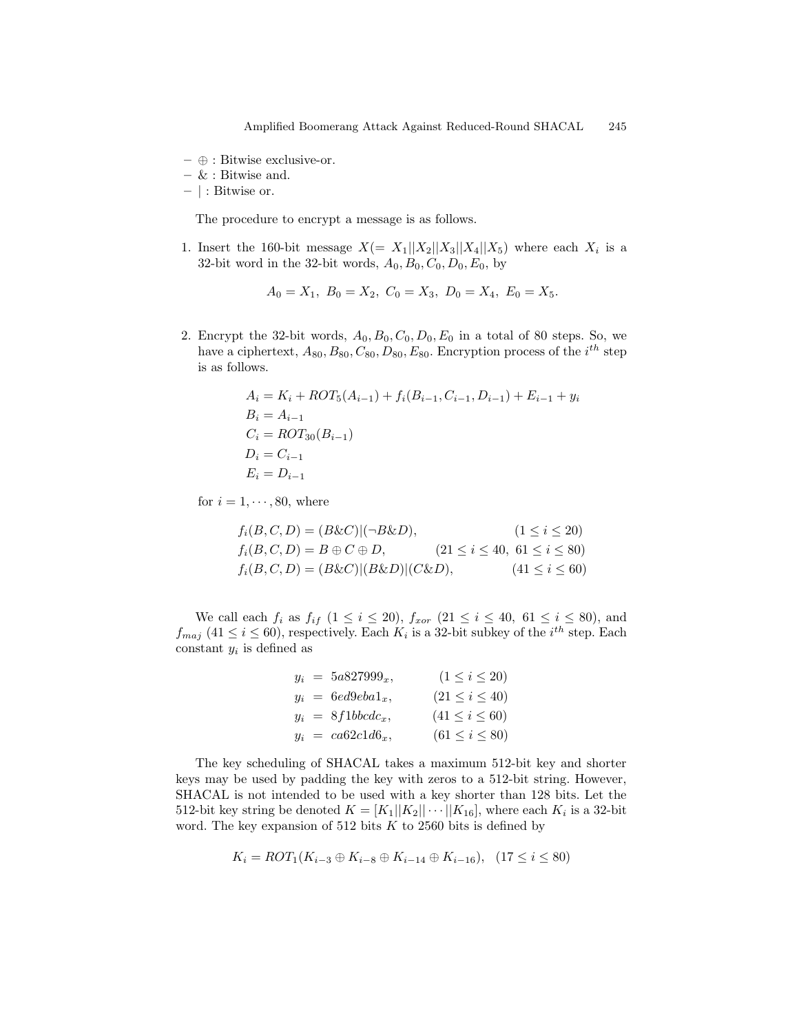- $−$  ⊕ : Bitwise exclusive-or.
- & : Bitwise and.
- | : Bitwise or.

The procedure to encrypt a message is as follows.

1. Insert the 160-bit message  $X(= X_1||X_2||X_3||X_4||X_5)$  where each  $X_i$  is a 32-bit word in the 32-bit words,  $A_0$ ,  $B_0$ ,  $C_0$ ,  $D_0$ ,  $E_0$ , by

$$
A_0 = X_1, \ B_0 = X_2, \ C_0 = X_3, \ D_0 = X_4, \ E_0 = X_5.
$$

2. Encrypt the 32-bit words,  $A_0$ ,  $B_0$ ,  $C_0$ ,  $D_0$ ,  $E_0$  in a total of 80 steps. So, we have a ciphertext,  $A_{80}, B_{80}, C_{80}, D_{80}, E_{80}$ . Encryption process of the  $i^{th}$  step is as follows.

$$
A_i = K_i + ROT_5(A_{i-1}) + f_i(B_{i-1}, C_{i-1}, D_{i-1}) + E_{i-1} + y_i
$$
  
\n
$$
B_i = A_{i-1}
$$
  
\n
$$
C_i = ROT_{30}(B_{i-1})
$$
  
\n
$$
D_i = C_{i-1}
$$
  
\n
$$
E_i = D_{i-1}
$$

for  $i = 1, \dots, 80$ , where

$$
f_i(B, C, D) = (B \& C)|(-B \& D), \qquad (1 \le i \le 20)
$$
  
\n
$$
f_i(B, C, D) = B \oplus C \oplus D, \qquad (21 \le i \le 40, 61 \le i \le 80)
$$
  
\n
$$
f_i(B, C, D) = (B \& C)|(B \& D)|(C \& D), \qquad (41 \le i \le 60)
$$

We call each  $f_i$  as  $f_{if}$   $(1 \le i \le 20)$ ,  $f_{xor}$   $(21 \le i \le 40, 61 \le i \le 80)$ , and  $f_{maj}$  (41  $\leq i \leq 60$ ), respectively. Each  $K_i$  is a 32-bit subkey of the  $i^{th}$  step. Each constant  $y_i$  is defined as

| $y_i = 5a827999_x$ | $(1 \leq i \leq 20)$  |
|--------------------|-----------------------|
| $y_i = 6ed9eba1_x$ | $(21 \leq i \leq 40)$ |
| $y_i = 8f1bbcdc_x$ | $(41 \leq i \leq 60)$ |
| $y_i = ca62c1d6_x$ | $(61 \leq i \leq 80)$ |

The key scheduling of SHACAL takes a maximum 512-bit key and shorter keys may be used by padding the key with zeros to a 512-bit string. However, SHACAL is not intended to be used with a key shorter than 128 bits. Let the 512-bit key string be denoted  $K = [K_1 || K_2 || \cdots || K_{16}]$ , where each  $K_i$  is a 32-bit word. The key expansion of 512 bits  $K$  to 2560 bits is defined by

$$
K_i = ROT_1(K_{i-3} \oplus K_{i-8} \oplus K_{i-14} \oplus K_{i-16}), \quad (17 \le i \le 80)
$$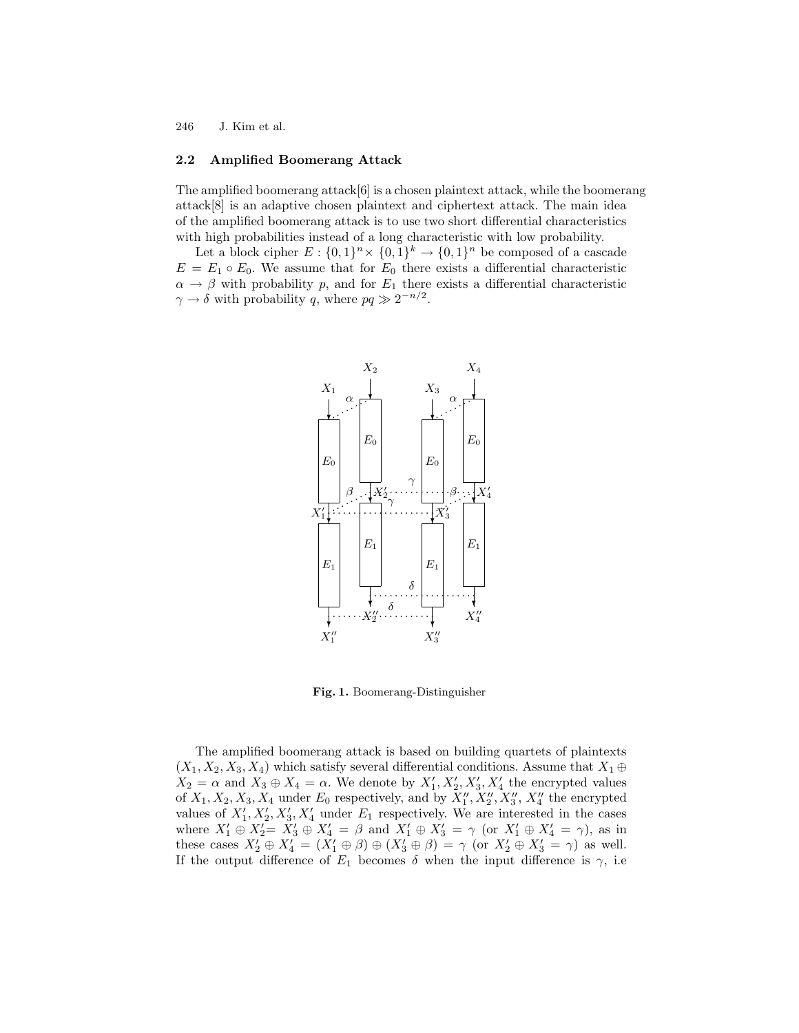#### 2.2 Amplified Boomerang Attack

The amplified boomerang attack $[6]$  is a chosen plaintext attack, while the boomerang attack[8] is an adaptive chosen plaintext and ciphertext attack. The main idea of the amplified boomerang attack is to use two short differential characteristics with high probabilities instead of a long characteristic with low probability.

Let a block cipher  $E: \{0,1\}^n \times \{0,1\}^k \to \{0,1\}^n$  be composed of a cascade  $E = E_1 \circ E_0$ . We assume that for  $E_0$  there exists a differential characteristic  $\alpha \rightarrow \beta$  with probability p, and for  $E_1$  there exists a differential characteristic  $\gamma \to \delta$  with probability q, where  $pq \gg 2^{-n/2}$ .



Fig. 1. Boomerang-Distinguisher

The amplified boomerang attack is based on building quartets of plaintexts  $(X_1, X_2, X_3, X_4)$  which satisfy several differential conditions. Assume that  $X_1 \oplus$  $X_2 = \alpha$  and  $X_3 \oplus X_4 = \alpha$ . We denote by  $X'_1, X'_2, X'_3, X'_4$  the encrypted values of  $X_1, X_2, X_3, X_4$  under  $E_0$  respectively, and by  $X_1'', X_2'', X_3'', X_4''$  the encrypted values of  $X'_1, X'_2, X'_3, X'_4$  under  $E_1$  respectively. We are interested in the cases where  $X'_1 \oplus X'_2 = X'_3 \oplus X'_4 = \beta$  and  $X'_1 \oplus X'_3 = \gamma$  (or  $X'_1 \oplus X'_4 = \gamma$ ), as in these cases  $X'_2 \oplus X'_4 = (X'_1 \oplus \beta) \oplus (X'_3 \oplus \beta) = \gamma$  (or  $X'_2 \oplus X'_3 = \gamma$ ) as well. If the output difference of  $E_1$  becomes  $\delta$  when the input difference is  $\gamma$ , i.e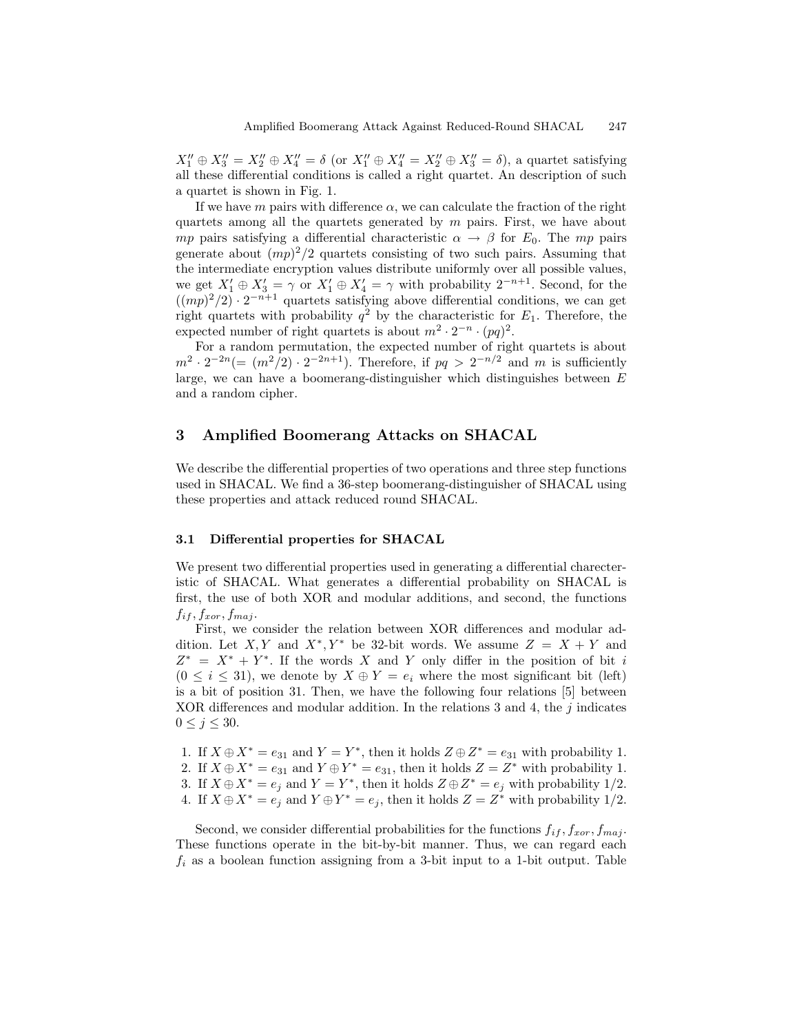$X_1'' \oplus X_3'' = X_2'' \oplus X_4'' = \delta$  (or  $X_1'' \oplus X_4'' = X_2'' \oplus X_3'' = \delta$ ), a quartet satisfying all these differential conditions is called a right quartet. An description of such a quartet is shown in Fig. 1.

If we have m pairs with difference  $\alpha$ , we can calculate the fraction of the right quartets among all the quartets generated by  $m$  pairs. First, we have about *mp* pairs satisfying a differential characteristic  $\alpha \rightarrow \beta$  for  $E_0$ . The mp pairs generate about  $(mp)^2/2$  quartets consisting of two such pairs. Assuming that the intermediate encryption values distribute uniformly over all possible values, we get  $X'_1 \oplus X'_3 = \gamma$  or  $X'_1 \oplus X'_4 = \gamma$  with probability  $2^{-n+1}$ . Second, for the  $((mp)^2/2) \cdot 2^{-n+1}$  quartets satisfying above differential conditions, we can get right quartets with probability  $q^2$  by the characteristic for  $E_1$ . Therefore, the expected number of right quartets is about  $m^2 \cdot 2^{-n} \cdot (pq)^2$ .

For a random permutation, the expected number of right quartets is about  $m^2 \cdot 2^{-2n} (= (m^2/2) \cdot 2^{-2n+1})$ . Therefore, if  $pq > 2^{-n/2}$  and m is sufficiently large, we can have a boomerang-distinguisher which distinguishes between  $E$ and a random cipher.

# 3 Amplified Boomerang Attacks on SHACAL

We describe the differential properties of two operations and three step functions used in SHACAL. We find a 36-step boomerang-distinguisher of SHACAL using these properties and attack reduced round SHACAL.

#### 3.1 Differential properties for SHACAL

We present two differential properties used in generating a differential charecteristic of SHACAL. What generates a differential probability on SHACAL is first, the use of both XOR and modular additions, and second, the functions  $f_{if}, f_{xor}, f_{maj}.$ 

First, we consider the relation between XOR differences and modular addition. Let X, Y and  $X^*$ , Y<sup>\*</sup> be 32-bit words. We assume  $Z = X + Y$  and  $Z^* = X^* + Y^*$ . If the words X and Y only differ in the position of bit i  $(0 \leq i \leq 31)$ , we denote by  $X \oplus Y = e_i$  where the most significant bit (left) is a bit of position 31. Then, we have the following four relations [5] between XOR differences and modular addition. In the relations 3 and 4, the  $j$  indicates  $0 \leq j \leq 30$ .

- 1. If  $X \oplus X^* = e_{31}$  and  $Y = Y^*$ , then it holds  $Z \oplus Z^* = e_{31}$  with probability 1.
- 2. If  $X \oplus X^* = e_{31}$  and  $Y \oplus Y^* = e_{31}$ , then it holds  $Z = Z^*$  with probability 1.
- 3. If  $X \oplus X^* = e_j$  and  $Y = Y^*$ , then it holds  $Z \oplus Z^* = e_j$  with probability 1/2.
- 4. If  $X \oplus X^* = e_j$  and  $Y \oplus Y^* = e_j$ , then it holds  $Z = Z^*$  with probability 1/2.

Second, we consider differential probabilities for the functions  $f_{if}$ ,  $f_{xor}$ ,  $f_{maj}$ . These functions operate in the bit-by-bit manner. Thus, we can regard each  $f_i$  as a boolean function assigning from a 3-bit input to a 1-bit output. Table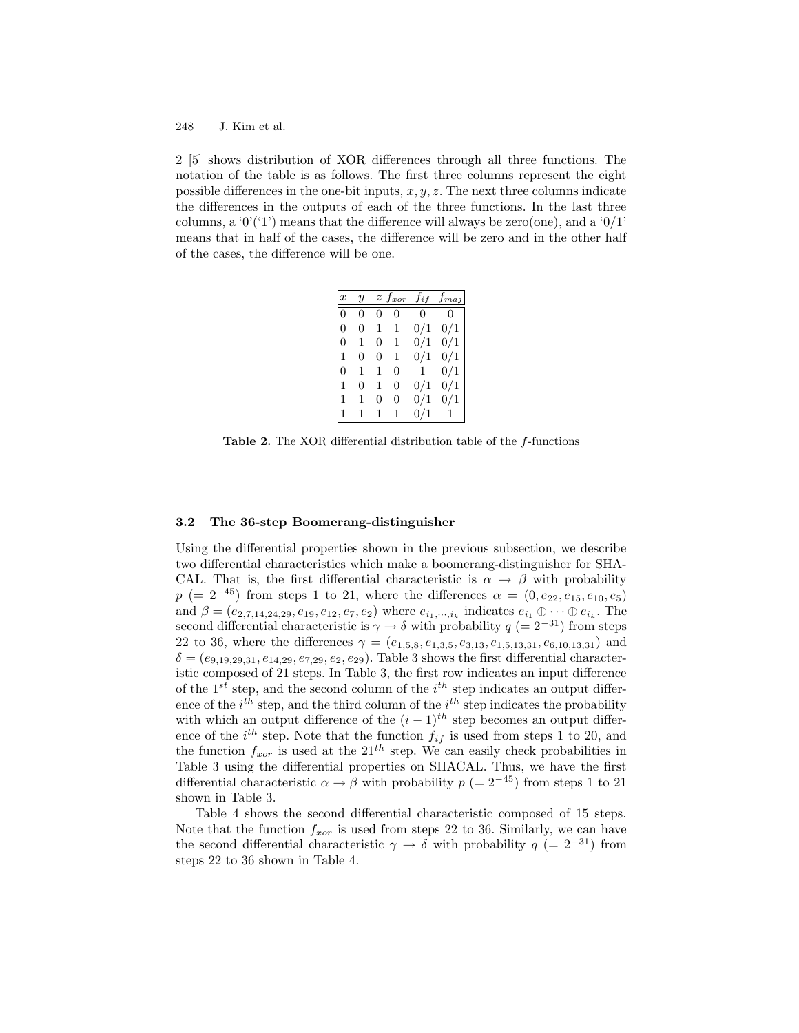2 [5] shows distribution of XOR differences through all three functions. The notation of the table is as follows. The first three columns represent the eight possible differences in the one-bit inputs,  $x, y, z$ . The next three columns indicate the differences in the outputs of each of the three functions. In the last three columns, a ' $0'$ ('1') means that the difference will always be zero(one), and a ' $0/1$ ' means that in half of the cases, the difference will be zero and in the other half of the cases, the difference will be one.

| $\boldsymbol{x}$ | $\overline{y}$ |                  | $z \vert f_{xor}$ | $f_{if}$ | $f_{maj}$ |
|------------------|----------------|------------------|-------------------|----------|-----------|
| $\overline{0}$   | O              | 0                | 0                 | 0        | 0         |
| $\overline{0}$   | 0              | 1                | 1                 | 0/1      | 0/1       |
| $\Omega$         |                | 0                | 1                 | 0/1      | 0/1       |
| 1                | 0              | 0                | 1                 | 0/1      | 0/1       |
| $\overline{0}$   | 1              | 1                | 0                 | 1        | 0/1       |
| $\overline{1}$   | 0              | 1                | $\overline{0}$    | 0/1      | 0/1       |
| $\mathbf{1}$     |                | $\boldsymbol{0}$ | 0                 | 0/1      | 0/1       |
| $\mathbf{1}$     |                |                  |                   | 0/1      |           |

Table 2. The XOR differential distribution table of the f-functions

#### 3.2 The 36-step Boomerang-distinguisher

Using the differential properties shown in the previous subsection, we describe two differential characteristics which make a boomerang-distinguisher for SHA-CAL. That is, the first differential characteristic is  $\alpha \to \beta$  with probability  $p (= 2^{-45})$  from steps 1 to 21, where the differences  $\alpha = (0, e_{22}, e_{15}, e_{10}, e_5)$ and  $\beta = (e_{2,7,14,24,29}, e_{19}, e_{12}, e_7, e_2)$  where  $e_{i_1,\dots,i_k}$  indicates  $e_{i_1} \oplus \dots \oplus e_{i_k}$ . The second differential characteristic is  $\gamma \to \delta$  with probability  $q (= 2^{-31})$  from steps 22 to 36, where the differences  $\gamma = (e_{1,5,8}, e_{1,3,5}, e_{3,13}, e_{1,5,13,31}, e_{6,10,13,31})$  and  $\delta = (e_{9,19,29,31}, e_{14,29}, e_{7,29}, e_2, e_{29})$ . Table 3 shows the first differential characteristic composed of 21 steps. In Table 3, the first row indicates an input difference of the  $1^{st}$  step, and the second column of the  $i^{th}$  step indicates an output difference of the  $i^{th}$  step, and the third column of the  $i^{th}$  step indicates the probability with which an output difference of the  $(i - 1)^{th}$  step becomes an output difference of the  $i^{th}$  step. Note that the function  $f_{if}$  is used from steps 1 to 20, and the function  $f_{xor}$  is used at the  $21^{th}$  step. We can easily check probabilities in Table 3 using the differential properties on SHACAL. Thus, we have the first differential characteristic  $\alpha \to \beta$  with probability  $p (= 2^{-45})$  from steps 1 to 21 shown in Table 3.

Table 4 shows the second differential characteristic composed of 15 steps. Note that the function  $f_{xor}$  is used from steps 22 to 36. Similarly, we can have the second differential characteristic  $\gamma \to \delta$  with probability  $q (= 2^{-31})$  from steps 22 to 36 shown in Table 4.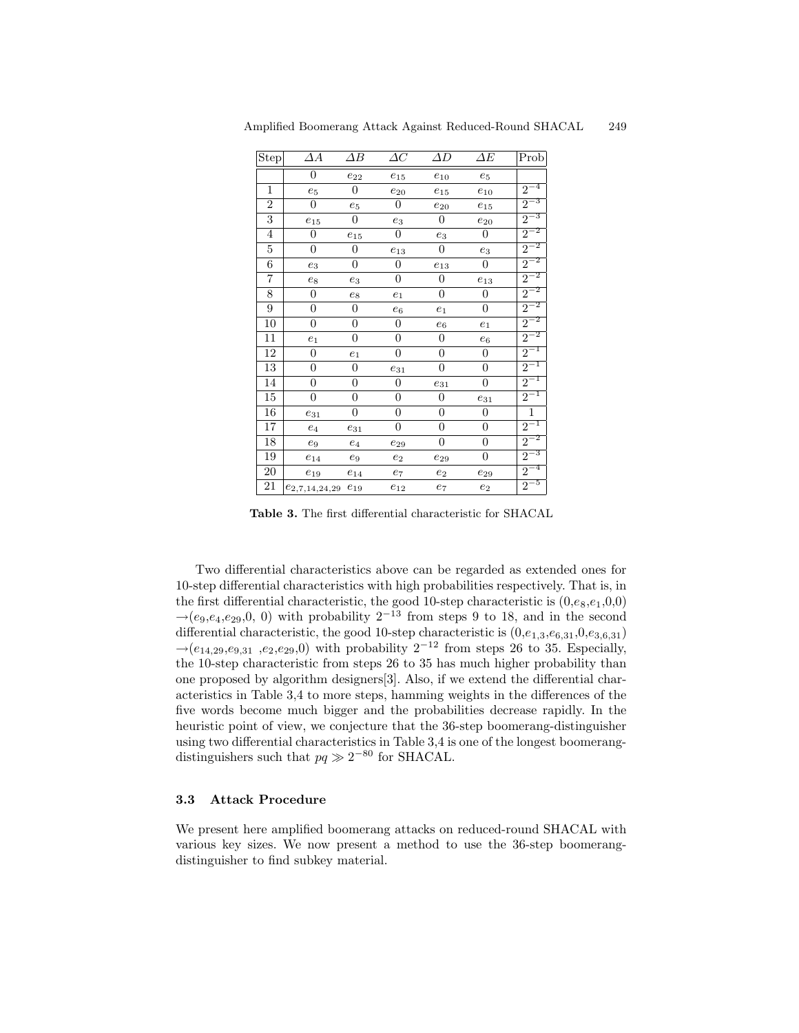| Step             | ΔА                          | $\Delta B$            | $\varDelta C$       | $\varDelta D$    | $\Delta E$            | Prob     |
|------------------|-----------------------------|-----------------------|---------------------|------------------|-----------------------|----------|
|                  | 0                           | $\boldsymbol{e}_{22}$ | $e_{15}$            | $e_{10}$         | $\boldsymbol{e}_5$    |          |
| $\mathbf{1}$     | $e_5$                       | 0                     | $e_{20}$            | $e_{15}$         | $e_{\rm 10}$          | $2^{-4}$ |
| $\boldsymbol{2}$ | 0                           | $e_5$                 | $\boldsymbol{0}$    | $e_{20}$         | $e_{15}$              | $2^{-3}$ |
| 3                | $e_{15}$                    | $\boldsymbol{0}$      | $e_3$               | $\boldsymbol{0}$ | $\boldsymbol{e}_{20}$ | $2^{-3}$ |
| $\overline{4}$   | 0                           | $e_{15}$              | $\overline{0}$      | $e_3$            | $\boldsymbol{0}$      | $2^{-2}$ |
| $\overline{5}$   | 0                           | 0                     | $e_{13}$            | 0                | $e_3$                 | $2^{-2}$ |
| 6                | $e_3$                       | 0                     | $\boldsymbol{0}$    | $e_{13}$         | 0                     | $2^{-2}$ |
| 7                | $e_8$                       | $e_3$                 | $\boldsymbol{0}$    | $\boldsymbol{0}$ | $\boldsymbol{e}_{13}$ | $2^{-2}$ |
| 8                | 0                           | $\mathfrak{e}_8$      | $\boldsymbol{e}_1$  | $\boldsymbol{0}$ | 0                     | $2^{-2}$ |
| 9                | $\overline{0}$              | 0                     | $e_6$               | e <sub>1</sub>   | $\boldsymbol{0}$      | $2^{-2}$ |
| 10               | 0                           | 0                     | $\boldsymbol{0}$    | $e_6$            | $\boldsymbol{e}_1$    | $2^{-2}$ |
| 11               | $e_1$                       | 0                     | $\boldsymbol{0}$    | $\boldsymbol{0}$ | $e_6$                 | $2^{-2}$ |
| 12               | 0                           | $e_1$                 | $\overline{0}$      | $\overline{0}$   | $\boldsymbol{0}$      | $2^{-1}$ |
| 13               | $\overline{0}$              | 0                     | $e_{31}$            | $\overline{0}$   | $\boldsymbol{0}$      | $2^{-1}$ |
| 14               | 0                           | 0                     | $\boldsymbol{0}$    | $e_{31}$         | $\boldsymbol{0}$      | $2^{-1}$ |
| 15               | $\overline{0}$              | 0                     | $\boldsymbol{0}$    | $\boldsymbol{0}$ | $e_{31}$              | $2^{-1}$ |
| 16               | $e_{31}$                    | 0                     | $\overline{0}$      | $\overline{0}$   | $\overline{0}$        | $\,1\,$  |
| 17               | $\mathfrak{e}_4$            | $e_{31}$              | $\overline{0}$      | $\boldsymbol{0}$ | $\overline{0}$        | $2^{-1}$ |
| 18               | $\mathfrak{e}_9$            | $e_4$                 | $\mathfrak{e}_{29}$ | 0                | $\overline{0}$        | $2^{-2}$ |
| 19               | $e_{14}$                    | $e_9$                 | $e_2$               | $e_{29}$         | 0                     | $2^{-3}$ |
| $20\,$           | $e_{19}$                    | $e_{14}$              | $\scriptstyle{e_7}$ | $e_2$            | $e_{29}$              | $2^{-4}$ |
| 21               | $e_{2,7,14,24,29}$ $e_{19}$ |                       | $e_{12}$            | $e_7$            | $e_2$                 | $2^{-5}$ |

Amplified Boomerang Attack Against Reduced-Round SHACAL 249

Table 3. The first differential characteristic for SHACAL

Two differential characteristics above can be regarded as extended ones for 10-step differential characteristics with high probabilities respectively. That is, in the first differential characteristic, the good 10-step characteristic is  $(0, e_8, e_1, 0, 0)$  $\rightarrow$  (e<sub>9</sub>, e<sub>4</sub>, e<sub>29</sub>, 0, 0) with probability  $2^{-13}$  from steps 9 to 18, and in the second differential characteristic, the good 10-step characteristic is  $(0,e_{1,3},e_{6,31},0,e_{3,6,31})$  $\rightarrow$  (e<sub>14.29</sub>,e<sub>9.31</sub>,e<sub>2</sub>,e<sub>29</sub>,0) with probability 2<sup>-12</sup> from steps 26 to 35. Especially, the 10-step characteristic from steps 26 to 35 has much higher probability than one proposed by algorithm designers [3]. Also, if we extend the differential characteristics in Table 3,4 to more steps, hamming weights in the differences of the five words become much bigger and the probabilities decrease rapidly. In the heuristic point of view, we conjecture that the 36-step boomerang-distinguisher using two differential characteristics in Table 3,4 is one of the longest boomerangdistinguishers such that  $pq \gg 2^{-80}$  for SHACAL.

#### 3.3 **Attack Procedure**

We present here amplified boomerang attacks on reduced-round SHACAL with various key sizes. We now present a method to use the 36-step boomerangdistinguisher to find subkey material.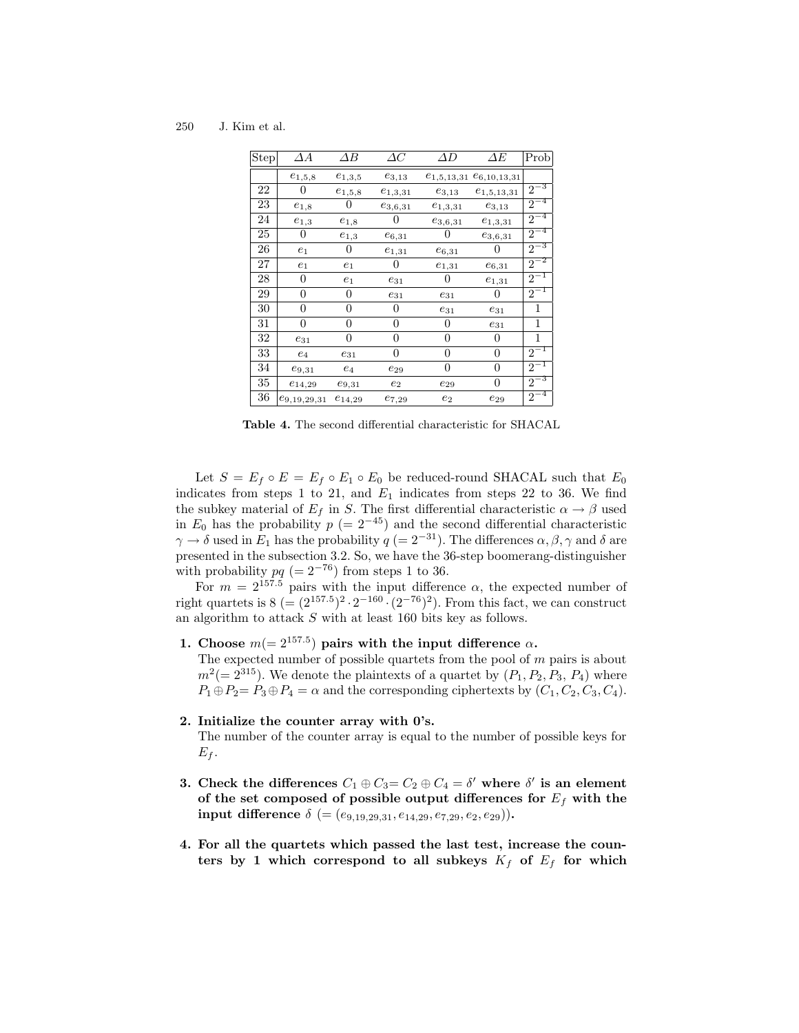250 J. Kim et al.

| Step | $\varDelta A$      | $\Delta B$     | $\varDelta C$       | ΔD                  | $\varDelta E$                    | Prob                 |
|------|--------------------|----------------|---------------------|---------------------|----------------------------------|----------------------|
|      | $e_{1,5,8}$        | $e_{1,3,5}$    | $e_{3,13}$          |                     | $e_{1,5,13,31}$ $e_{6,10,13,31}$ |                      |
| 22   | 0                  | $e_{1,5,8}$    | $e_{1,3,31}$        | $e_{3,13}$          | $e_{1,5,13,31}$                  | $2^{-3}$             |
| 23   | $e_{1,8}$          | $\theta$       | $e_{3,6,31}$        | $e_{1,3,31}$        | $e_{3,13}$                       | $2^{-4}$             |
| 24   | $e_{1,3}$          | $e_{1,8}$      | $\mathbf{0}$        | $e_{3,6,31}$        | $e_{1,3,31}$                     | $2^{-4}$             |
| 25   | 0                  | $e_{1,3}$      | $e_{6,31}$          |                     | $e_{3,6,31}$                     | $2^{-4}$             |
| 26   | $\ensuremath{e}_1$ | 0              | $e_{1,31}$          | $e_{6,31}$          | O                                | $2^{-3}$             |
| 27   | $e_1$              | $e_1$          | 0                   | $e_{1,31}$          | $e_{6,31}$                       | $2^{-2}$             |
| 28   | 0                  | $e_1$          | $e_{31}$            | $\theta$            | $e_{1,31}$                       | $2^{-1}$             |
| 29   | 0                  | 0              | $\mathfrak{e}_{31}$ | $e_{31}$            | $\theta$                         | $2^{-1}$             |
| 30   | $\Omega$           | 0              | 0                   | $e_{31}$            | $e_{31}$                         | 1                    |
| 31   | $\theta$           | 0              | $\Omega$            | $\overline{0}$      | $e_{31}$                         | 1                    |
| 32   | $e_{31}$           | $\overline{0}$ | 0                   | $\overline{0}$      | $\overline{0}$                   | 1                    |
| 33   | $\mathfrak{e}_4$   | $e_{31}$       | 0                   | $\overline{0}$      | $\overline{0}$                   | $2^{-1}$             |
| 34   | $e_{9,31}$         | $e_4$          | $e_{29}$            | $\Omega$            | $\overline{0}$                   | $2^{-1}$             |
| 35   | $e_{14,29}$        | $e_{9,31}$     | $e_2$               | $\mathfrak{e}_{29}$ | 0                                | $2^{-3}$             |
| 36   | $e_{9,19,29,31}$   | $e_{14,29}$    | $e_{7,29}$          | $e_2$               | $e_{29}$                         | -4<br>$\overline{2}$ |

Table 4. The second differential characteristic for SHACAL

Let  $S = E_f \circ E = E_f \circ E_1 \circ E_0$  be reduced-round SHACAL such that  $E_0$ indicates from steps 1 to 21, and  $E_1$  indicates from steps 22 to 36. We find the subkey material of  $E_f$  in S. The first differential characteristic  $\alpha \to \beta$  used in  $E_0$  has the probability  $p = 2^{-45}$  and the second differential characteristic  $\gamma \rightarrow \delta$  used in  $E_1$  has the probability  $q (= 2^{-31})$ . The differences  $\alpha, \beta, \gamma$  and  $\delta$  are presented in the subsection 3.2. So, we have the 36-step boomerang-distinguisher

with probability  $pq (= 2^{-76})$  from steps 1 to 36.<br>For  $m = 2^{157.5}$  pairs with the input difference  $\alpha$ , the expected number of right quartets is  $8 (= (2^{157.5})^2 \cdot 2^{-160} \cdot (2^{-76})^2)$ . From this fact, we can construct an algorithm to attack  $S$  with at least 160 bits key as follows.

1. Choose  $m(=2^{157.5})$  pairs with the input difference  $\alpha$ .

The expected number of possible quartets from the pool of  $m$  pairs is about  $m^2 (= 2^{315})$ . We denote the plaintexts of a quartet by  $(P_1, P_2, P_3, P_4)$  where  $P_1 \oplus P_2 = P_3 \oplus P_4 = \alpha$  and the corresponding ciphertexts by  $(C_1, C_2, C_3, C_4)$ .

#### 2. Initialize the counter array with 0's.

The number of the counter array is equal to the number of possible keys for  $E_f$ .

- 3. Check the differences  $C_1 \oplus C_3 = C_2 \oplus C_4 = \delta'$  where  $\delta'$  is an element of the set composed of possible output differences for  $E_f$  with the input difference  $\delta$  (= (e<sub>9,19,29,31</sub>, e<sub>14,29</sub>, e<sub>7,29</sub>, e<sub>2</sub>, e<sub>29</sub>)).
- 4. For all the quartets which passed the last test, increase the counters by 1 which correspond to all subkeys  $K_f$  of  $E_f$  for which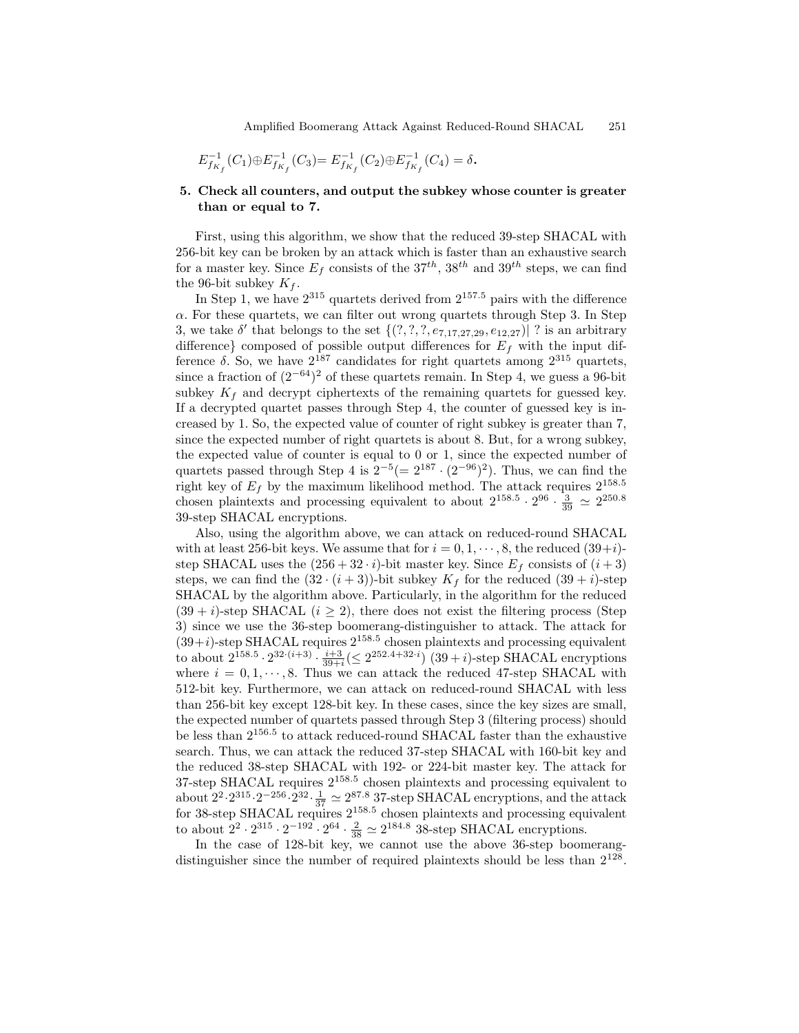$$
E_{f_{K_f}}^{-1}(C_1)\oplus E_{f_{K_f}}^{-1}(C_3)=E_{f_{K_f}}^{-1}(C_2)\oplus E_{f_{K_f}}^{-1}(C_4)=\delta.
$$

### 5. Check all counters, and output the subkey whose counter is greater than or equal to 7.

First, using this algorithm, we show that the reduced 39-step SHACAL with 256-bit key can be broken by an attack which is faster than an exhaustive search for a master key. Since  $E_f$  consists of the  $37^{th}$ ,  $38^{th}$  and  $39^{th}$  steps, we can find the 96-bit subkey  $K_f$ .

In Step 1, we have  $2^{315}$  quartets derived from  $2^{157.5}$  pairs with the difference  $\alpha$ . For these quartets, we can filter out wrong quartets through Step 3. In Step 3, we take  $\delta'$  that belongs to the set  $\{(?,?,?,e_{7,17,27,29},e_{12,27})\}\$  is an arbitrary difference} composed of possible output differences for  $E_f$  with the input difference δ. So, we have  $2^{187}$  candidates for right quartets among  $2^{315}$  quartets, since a fraction of  $(2^{-64})^2$  of these quartets remain. In Step 4, we guess a 96-bit subkey  $K_f$  and decrypt ciphertexts of the remaining quartets for guessed key. If a decrypted quartet passes through Step 4, the counter of guessed key is increased by 1. So, the expected value of counter of right subkey is greater than 7, since the expected number of right quartets is about 8. But, for a wrong subkey, the expected value of counter is equal to 0 or 1, since the expected number of quartets passed through Step 4 is  $2^{-5} (= 2^{187} \cdot (2^{-96})^2)$ . Thus, we can find the right key of  $E_f$  by the maximum likelihood method. The attack requires  $2^{158.5}$ chosen plaintexts and processing equivalent to about  $2^{158.5} \cdot 2^{96} \cdot \frac{3}{39} \approx 2^{250.8}$ 39-step SHACAL encryptions.

Also, using the algorithm above, we can attack on reduced-round SHACAL with at least 256-bit keys. We assume that for  $i = 0, 1, \dots, 8$ , the reduced  $(39+i)$ step SHACAL uses the  $(256 + 32 \cdot i)$ -bit master key. Since  $E_f$  consists of  $(i + 3)$ steps, we can find the  $(32 \cdot (i+3))$ -bit subkey  $K_f$  for the reduced  $(39 + i)$ -step SHACAL by the algorithm above. Particularly, in the algorithm for the reduced  $(39 + i)$ -step SHACAL  $(i > 2)$ , there does not exist the filtering process (Step 3) since we use the 36-step boomerang-distinguisher to attack. The attack for  $(39+i)$ -step SHACAL requires  $2^{158.5}$  chosen plaintexts and processing equivalent to about  $2^{158.5} \cdot 2^{32 \cdot (i+3)} \cdot \frac{i+3}{39+i} (\leq 2^{252.4+32 \cdot i})$  (39 + *i*)-step SHACAL encryptions where  $i = 0, 1, \dots, 8$ . Thus we can attack the reduced 47-step SHACAL with 512-bit key. Furthermore, we can attack on reduced-round SHACAL with less than 256-bit key except 128-bit key. In these cases, since the key sizes are small, the expected number of quartets passed through Step 3 (filtering process) should be less than  $2^{156.5}$  to attack reduced-round SHACAL faster than the exhaustive search. Thus, we can attack the reduced 37-step SHACAL with 160-bit key and the reduced 38-step SHACAL with 192- or 224-bit master key. The attack for 37-step SHACAL requires 2 158.5 chosen plaintexts and processing equivalent to about  $2^2 \cdot 2^{315} \cdot 2^{-256} \cdot 2^{32} \cdot \frac{1}{37} \simeq 2^{87.8}$  37-step SHACAL encryptions, and the attack for 38-step SHACAL requires 2 158.5 chosen plaintexts and processing equivalent to about  $2^2 \cdot 2^{315} \cdot 2^{-192} \cdot 2^{64} \cdot \frac{2}{38} \simeq 2^{184.8}$  38-step SHACAL encryptions.

In the case of 128-bit key, we cannot use the above 36-step boomerangdistinguisher since the number of required plaintexts should be less than  $2^{128}$ .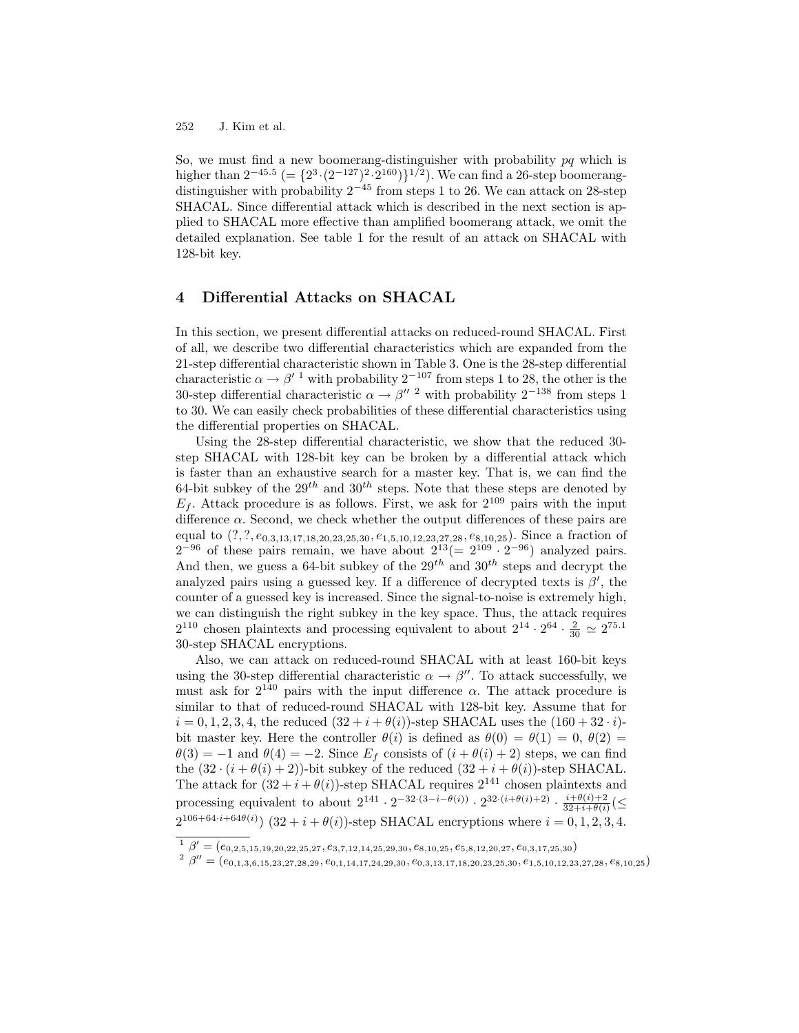So, we must find a new boomerang-distinguisher with probability  $pq$  which is higher than  $2^{-45.5}$  (=  $\{2^3 \cdot (2^{-127})^2 \cdot 2^{160}\}^{1/2}$ ). We can find a 26-step boomerangdistinguisher with probability  $2^{-45}$  from steps 1 to 26. We can attack on 28-step SHACAL. Since differential attack which is described in the next section is applied to SHACAL more effective than amplified boomerang attack, we omit the detailed explanation. See table 1 for the result of an attack on SHACAL with 128-bit key.

# 4 Differential Attacks on SHACAL

In this section, we present differential attacks on reduced-round SHACAL. First of all, we describe two differential characteristics which are expanded from the 21-step differential characteristic shown in Table 3. One is the 28-step differential characteristic  $\alpha \to \beta'^{-1}$  with probability  $2^{-107}$  from steps 1 to 28, the other is the 30-step differential characteristic  $\alpha \rightarrow \beta''$  <sup>2</sup> with probability  $2^{-138}$  from steps 1 to 30. We can easily check probabilities of these differential characteristics using the differential properties on SHACAL.

Using the 28-step differential characteristic, we show that the reduced 30 step SHACAL with 128-bit key can be broken by a differential attack which is faster than an exhaustive search for a master key. That is, we can find the 64-bit subkey of the  $29^{th}$  and  $30^{th}$  steps. Note that these steps are denoted by  $E_f$ . Attack procedure is as follows. First, we ask for  $2^{109}$  pairs with the input difference  $\alpha$ . Second, we check whether the output differences of these pairs are equal to  $(?,?,e_{0,3,13,17,18,20,23,25,30},e_{1,5,10,12,23,27,28},e_{8,10,25})$ . Since a fraction of  $2^{-96}$  of these pairs remain, we have about  $2^{13} (= 2^{109} \cdot 2^{-96})$  analyzed pairs. And then, we guess a 64-bit subkey of the  $29^{th}$  and  $30^{th}$  steps and decrypt the analyzed pairs using a guessed key. If a difference of decrypted texts is  $\beta'$ , the counter of a guessed key is increased. Since the signal-to-noise is extremely high, we can distinguish the right subkey in the key space. Thus, the attack requires  $2^{110}$  chosen plaintexts and processing equivalent to about  $2^{14} \cdot 2^{64} \cdot \frac{2}{30} \simeq 2^{75.1}$ 30-step SHACAL encryptions.

Also, we can attack on reduced-round SHACAL with at least 160-bit keys using the 30-step differential characteristic  $\alpha \to \beta''$ . To attack successfully, we must ask for  $2^{140}$  pairs with the input difference  $\alpha$ . The attack procedure is similar to that of reduced-round SHACAL with 128-bit key. Assume that for  $i = 0, 1, 2, 3, 4$ , the reduced  $(32 + i + \theta(i))$ -step SHACAL uses the  $(160 + 32 \cdot i)$ bit master key. Here the controller  $\theta(i)$  is defined as  $\theta(0) = \theta(1) = 0, \theta(2) =$  $\theta(3) = -1$  and  $\theta(4) = -2$ . Since  $E_f$  consists of  $(i + \theta(i) + 2)$  steps, we can find the  $(32 \cdot (i + \theta(i) + 2))$ -bit subkey of the reduced  $(32 + i + \theta(i))$ -step SHACAL. The attack for  $(32 + i + \theta(i))$ -step SHACAL requires  $2^{141}$  chosen plaintexts and processing equivalent to about  $2^{141} \cdot 2^{-32 \cdot (3-i-\theta(i))} \cdot 2^{32 \cdot (i+\theta(i)+2)} \cdot \frac{i+\theta(i)+2}{32+i+\theta(i)}$  $\frac{i+\theta(i)+2}{32+i+\theta(i)}(\leq$  $2^{106+64 \cdot i+64\theta(i)}$  (32 + i +  $\theta(i)$ )-step SHACAL encryptions where  $i = 0, 1, 2, 3, 4$ .

 $1 \ \beta' = (e_{0,2,5,15,19,20,22,25,27},e_{3,7,12,14,25,29,30},e_{8,10,25},e_{5,8,12,20,27},e_{0,3,17,25,30})$ 

 $\beta'' = (e_{0,1,3,6,15,23,27,28,29},e_{0,1,14,17,24,29,30},e_{0,3,13,17,18,20,23,25,30},e_{1,5,10,12,23,27,28},e_{8,10,25})$